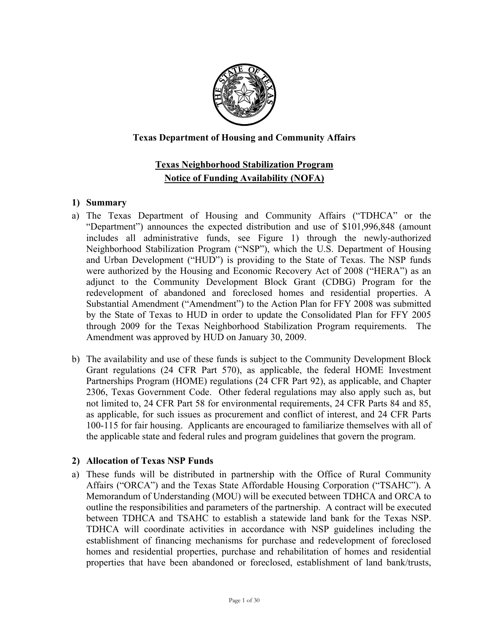

# **Texas Department of Housing and Community Affairs**

# **Texas Neighborhood Stabilization Program Notice of Funding Availability (NOFA)**

#### **1) Summary**

- a) The Texas Department of Housing and Community Affairs ("TDHCA" or the "Department") announces the expected distribution and use of \$101,996,848 (amount includes all administrative funds, see Figure 1) through the newly-authorized Neighborhood Stabilization Program ("NSP"), which the U.S. Department of Housing and Urban Development ("HUD") is providing to the State of Texas. The NSP funds were authorized by the Housing and Economic Recovery Act of 2008 ("HERA") as an adjunct to the Community Development Block Grant (CDBG) Program for the redevelopment of abandoned and foreclosed homes and residential properties. A Substantial Amendment ("Amendment") to the Action Plan for FFY 2008 was submitted by the State of Texas to HUD in order to update the Consolidated Plan for FFY 2005 through 2009 for the Texas Neighborhood Stabilization Program requirements. The Amendment was approved by HUD on January 30, 2009.
- b) The availability and use of these funds is subject to the Community Development Block Grant regulations (24 CFR Part 570), as applicable, the federal HOME Investment Partnerships Program (HOME) regulations (24 CFR Part 92), as applicable, and Chapter 2306, Texas Government Code. Other federal regulations may also apply such as, but not limited to, 24 CFR Part 58 for environmental requirements, 24 CFR Parts 84 and 85, as applicable, for such issues as procurement and conflict of interest, and 24 CFR Parts 100-115 for fair housing. Applicants are encouraged to familiarize themselves with all of the applicable state and federal rules and program guidelines that govern the program.

# **2) Allocation of Texas NSP Funds**

a) These funds will be distributed in partnership with the Office of Rural Community Affairs ("ORCA") and the Texas State Affordable Housing Corporation ("TSAHC"). A Memorandum of Understanding (MOU) will be executed between TDHCA and ORCA to outline the responsibilities and parameters of the partnership. A contract will be executed between TDHCA and TSAHC to establish a statewide land bank for the Texas NSP. TDHCA will coordinate activities in accordance with NSP guidelines including the establishment of financing mechanisms for purchase and redevelopment of foreclosed homes and residential properties, purchase and rehabilitation of homes and residential properties that have been abandoned or foreclosed, establishment of land bank/trusts,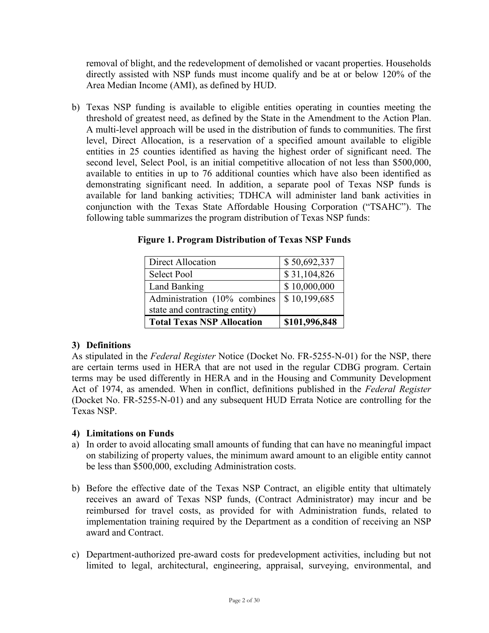removal of blight, and the redevelopment of demolished or vacant properties. Households directly assisted with NSP funds must income qualify and be at or below 120% of the Area Median Income (AMI), as defined by HUD.

b) Texas NSP funding is available to eligible entities operating in counties meeting the threshold of greatest need, as defined by the State in the Amendment to the Action Plan. A multi-level approach will be used in the distribution of funds to communities. The first level, Direct Allocation, is a reservation of a specified amount available to eligible entities in 25 counties identified as having the highest order of significant need. The second level, Select Pool, is an initial competitive allocation of not less than \$500,000, available to entities in up to 76 additional counties which have also been identified as demonstrating significant need. In addition, a separate pool of Texas NSP funds is available for land banking activities; TDHCA will administer land bank activities in conjunction with the Texas State Affordable Housing Corporation ("TSAHC"). The following table summarizes the program distribution of Texas NSP funds:

| Direct Allocation                 | \$50,692,337  |
|-----------------------------------|---------------|
| <b>Select Pool</b>                | \$31,104,826  |
| Land Banking                      | \$10,000,000  |
| Administration (10% combines      | \$10,199,685  |
| state and contracting entity)     |               |
| <b>Total Texas NSP Allocation</b> | \$101,996,848 |

**Figure 1. Program Distribution of Texas NSP Funds** 

# **3) Definitions**

As stipulated in the *Federal Register* Notice (Docket No. FR-5255-N-01) for the NSP, there are certain terms used in HERA that are not used in the regular CDBG program. Certain terms may be used differently in HERA and in the Housing and Community Development Act of 1974, as amended. When in conflict, definitions published in the *Federal Register*  (Docket No. FR-5255-N-01) and any subsequent HUD Errata Notice are controlling for the Texas NSP.

# **4) Limitations on Funds**

- a) In order to avoid allocating small amounts of funding that can have no meaningful impact on stabilizing of property values, the minimum award amount to an eligible entity cannot be less than \$500,000, excluding Administration costs.
- b) Before the effective date of the Texas NSP Contract, an eligible entity that ultimately receives an award of Texas NSP funds, (Contract Administrator) may incur and be reimbursed for travel costs, as provided for with Administration funds, related to implementation training required by the Department as a condition of receiving an NSP award and Contract.
- c) Department-authorized pre-award costs for predevelopment activities, including but not limited to legal, architectural, engineering, appraisal, surveying, environmental, and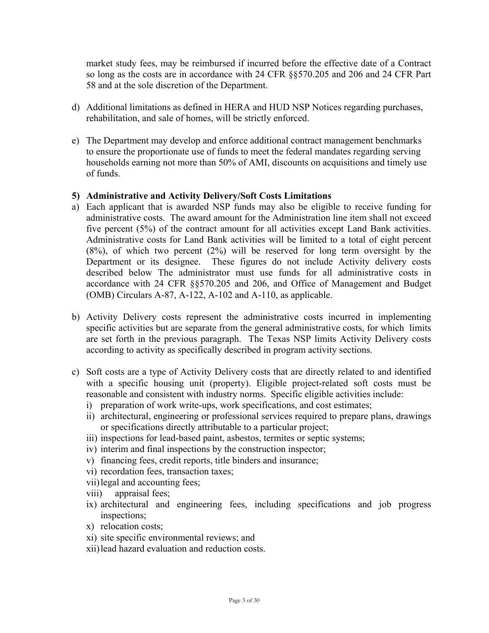market study fees, may be reimbursed if incurred before the effective date of a Contract so long as the costs are in accordance with 24 CFR §§570.205 and 206 and 24 CFR Part 58 and at the sole discretion of the Department.

- d) Additional limitations as defined in HERA and HUD NSP Notices regarding purchases, rehabilitation, and sale of homes, will be strictly enforced.
- e) The Department may develop and enforce additional contract management benchmarks to ensure the proportionate use of funds to meet the federal mandates regarding serving households earning not more than 50% of AMI, discounts on acquisitions and timely use of funds.

#### **5) Administrative and Activity Delivery/Soft Costs Limitations**

- a) Each applicant that is awarded NSP funds may also be eligible to receive funding for administrative costs. The award amount for the Administration line item shall not exceed five percent (5%) of the contract amount for all activities except Land Bank activities. Administrative costs for Land Bank activities will be limited to a total of eight percent (8%), of which two percent (2%) will be reserved for long term oversight by the Department or its designee. These figures do not include Activity delivery costs described below The administrator must use funds for all administrative costs in accordance with 24 CFR §§570.205 and 206, and Office of Management and Budget (OMB) Circulars A-87, A-122, A-102 and A-110, as applicable.
- b) Activity Delivery costs represent the administrative costs incurred in implementing specific activities but are separate from the general administrative costs, for which limits are set forth in the previous paragraph. The Texas NSP limits Activity Delivery costs according to activity as specifically described in program activity sections.
- c) Soft costs are a type of Activity Delivery costs that are directly related to and identified with a specific housing unit (property). Eligible project-related soft costs must be reasonable and consistent with industry norms. Specific eligible activities include:
	- i) preparation of work write-ups, work specifications, and cost estimates;
	- ii) architectural, engineering or professional services required to prepare plans, drawings or specifications directly attributable to a particular project;
	- iii) inspections for lead-based paint, asbestos, termites or septic systems;
	- iv) interim and final inspections by the construction inspector;
	- v) financing fees, credit reports, title binders and insurance;
	- vi) recordation fees, transaction taxes;
	- vii)legal and accounting fees;
	- viii) appraisal fees;
	- ix) architectural and engineering fees, including specifications and job progress inspections;
	- x) relocation costs;
	- xi) site specific environmental reviews; and
	- xii)lead hazard evaluation and reduction costs.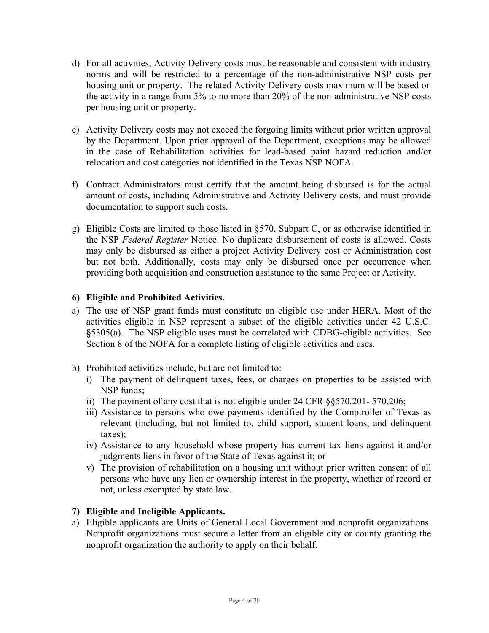- d) For all activities, Activity Delivery costs must be reasonable and consistent with industry norms and will be restricted to a percentage of the non-administrative NSP costs per housing unit or property. The related Activity Delivery costs maximum will be based on the activity in a range from 5% to no more than 20% of the non-administrative NSP costs per housing unit or property.
- e) Activity Delivery costs may not exceed the forgoing limits without prior written approval by the Department. Upon prior approval of the Department, exceptions may be allowed in the case of Rehabilitation activities for lead-based paint hazard reduction and/or relocation and cost categories not identified in the Texas NSP NOFA.
- f) Contract Administrators must certify that the amount being disbursed is for the actual amount of costs, including Administrative and Activity Delivery costs, and must provide documentation to support such costs.
- g) Eligible Costs are limited to those listed in §570, Subpart C, or as otherwise identified in the NSP *Federal Register* Notice. No duplicate disbursement of costs is allowed. Costs may only be disbursed as either a project Activity Delivery cost or Administration cost but not both. Additionally, costs may only be disbursed once per occurrence when providing both acquisition and construction assistance to the same Project or Activity.

# **6) Eligible and Prohibited Activities.**

- a) The use of NSP grant funds must constitute an eligible use under HERA. Most of the activities eligible in NSP represent a subset of the eligible activities under 42 U.S.C. **§**5305(a). The NSP eligible uses must be correlated with CDBG-eligible activities. See Section 8 of the NOFA for a complete listing of eligible activities and uses.
- b) Prohibited activities include, but are not limited to:
	- i) The payment of delinquent taxes, fees, or charges on properties to be assisted with NSP funds;
	- ii) The payment of any cost that is not eligible under 24 CFR §§570.201- 570.206;
	- iii) Assistance to persons who owe payments identified by the Comptroller of Texas as relevant (including, but not limited to, child support, student loans, and delinquent taxes);
	- iv) Assistance to any household whose property has current tax liens against it and/or judgments liens in favor of the State of Texas against it; or
	- v) The provision of rehabilitation on a housing unit without prior written consent of all persons who have any lien or ownership interest in the property, whether of record or not, unless exempted by state law.

# **7) Eligible and Ineligible Applicants.**

a) Eligible applicants are Units of General Local Government and nonprofit organizations. Nonprofit organizations must secure a letter from an eligible city or county granting the nonprofit organization the authority to apply on their behalf.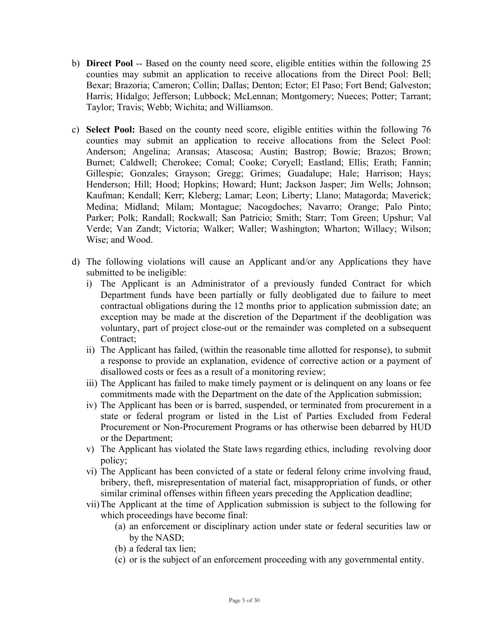- b) **Direct Pool** -- Based on the county need score, eligible entities within the following 25 counties may submit an application to receive allocations from the Direct Pool: Bell; Bexar; Brazoria; Cameron; Collin; Dallas; Denton; Ector; El Paso; Fort Bend; Galveston; Harris; Hidalgo; Jefferson; Lubbock; McLennan; Montgomery; Nueces; Potter; Tarrant; Taylor; Travis; Webb; Wichita; and Williamson.
- c) **Select Pool:** Based on the county need score, eligible entities within the following 76 counties may submit an application to receive allocations from the Select Pool: Anderson; Angelina; Aransas; Atascosa; Austin; Bastrop; Bowie; Brazos; Brown; Burnet; Caldwell; Cherokee; Comal; Cooke; Coryell; Eastland; Ellis; Erath; Fannin; Gillespie; Gonzales; Grayson; Gregg; Grimes; Guadalupe; Hale; Harrison; Hays; Henderson; Hill; Hood; Hopkins; Howard; Hunt; Jackson Jasper; Jim Wells; Johnson; Kaufman; Kendall; Kerr; Kleberg; Lamar; Leon; Liberty; Llano; Matagorda; Maverick; Medina; Midland; Milam; Montague; Nacogdoches; Navarro; Orange; Palo Pinto; Parker; Polk; Randall; Rockwall; San Patricio; Smith; Starr; Tom Green; Upshur; Val Verde; Van Zandt; Victoria; Walker; Waller; Washington; Wharton; Willacy; Wilson; Wise; and Wood.
- d) The following violations will cause an Applicant and/or any Applications they have submitted to be ineligible:
	- i) The Applicant is an Administrator of a previously funded Contract for which Department funds have been partially or fully deobligated due to failure to meet contractual obligations during the 12 months prior to application submission date; an exception may be made at the discretion of the Department if the deobligation was voluntary, part of project close-out or the remainder was completed on a subsequent Contract;
	- ii) The Applicant has failed, (within the reasonable time allotted for response), to submit a response to provide an explanation, evidence of corrective action or a payment of disallowed costs or fees as a result of a monitoring review;
	- iii) The Applicant has failed to make timely payment or is delinquent on any loans or fee commitments made with the Department on the date of the Application submission;
	- iv) The Applicant has been or is barred, suspended, or terminated from procurement in a state or federal program or listed in the List of Parties Excluded from Federal Procurement or Non-Procurement Programs or has otherwise been debarred by HUD or the Department;
	- v) The Applicant has violated the State laws regarding ethics, including revolving door policy;
	- vi) The Applicant has been convicted of a state or federal felony crime involving fraud, bribery, theft, misrepresentation of material fact, misappropriation of funds, or other similar criminal offenses within fifteen years preceding the Application deadline;
	- vii)The Applicant at the time of Application submission is subject to the following for which proceedings have become final:
		- (a) an enforcement or disciplinary action under state or federal securities law or by the NASD;
		- (b) a federal tax lien;
		- (c) or is the subject of an enforcement proceeding with any governmental entity.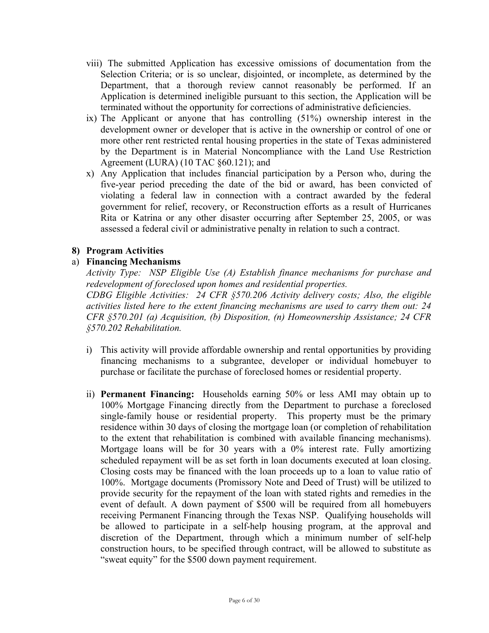- viii) The submitted Application has excessive omissions of documentation from the Selection Criteria; or is so unclear, disjointed, or incomplete, as determined by the Department, that a thorough review cannot reasonably be performed. If an Application is determined ineligible pursuant to this section, the Application will be terminated without the opportunity for corrections of administrative deficiencies.
- ix) The Applicant or anyone that has controlling (51%) ownership interest in the development owner or developer that is active in the ownership or control of one or more other rent restricted rental housing properties in the state of Texas administered by the Department is in Material Noncompliance with the Land Use Restriction Agreement (LURA) (10 TAC §60.121); and
- x) Any Application that includes financial participation by a Person who, during the five-year period preceding the date of the bid or award, has been convicted of violating a federal law in connection with a contract awarded by the federal government for relief, recovery, or Reconstruction efforts as a result of Hurricanes Rita or Katrina or any other disaster occurring after September 25, 2005, or was assessed a federal civil or administrative penalty in relation to such a contract.

# **8) Program Activities**

# a) **Financing Mechanisms**

*Activity Type: NSP Eligible Use (A) Establish finance mechanisms for purchase and redevelopment of foreclosed upon homes and residential properties. CDBG Eligible Activities: 24 CFR §570.206 Activity delivery costs; Also, the eligible activities listed here to the extent financing mechanisms are used to carry them out: 24 CFR §570.201 (a) Acquisition, (b) Disposition, (n) Homeownership Assistance; 24 CFR §570.202 Rehabilitation.* 

- i) This activity will provide affordable ownership and rental opportunities by providing financing mechanisms to a subgrantee, developer or individual homebuyer to purchase or facilitate the purchase of foreclosed homes or residential property.
- ii) **Permanent Financing:** Households earning 50% or less AMI may obtain up to 100% Mortgage Financing directly from the Department to purchase a foreclosed single-family house or residential property. This property must be the primary residence within 30 days of closing the mortgage loan (or completion of rehabilitation to the extent that rehabilitation is combined with available financing mechanisms). Mortgage loans will be for 30 years with a 0% interest rate. Fully amortizing scheduled repayment will be as set forth in loan documents executed at loan closing. Closing costs may be financed with the loan proceeds up to a loan to value ratio of 100%. Mortgage documents (Promissory Note and Deed of Trust) will be utilized to provide security for the repayment of the loan with stated rights and remedies in the event of default. A down payment of \$500 will be required from all homebuyers receiving Permanent Financing through the Texas NSP. Qualifying households will be allowed to participate in a self-help housing program, at the approval and discretion of the Department, through which a minimum number of self-help construction hours, to be specified through contract, will be allowed to substitute as "sweat equity" for the \$500 down payment requirement.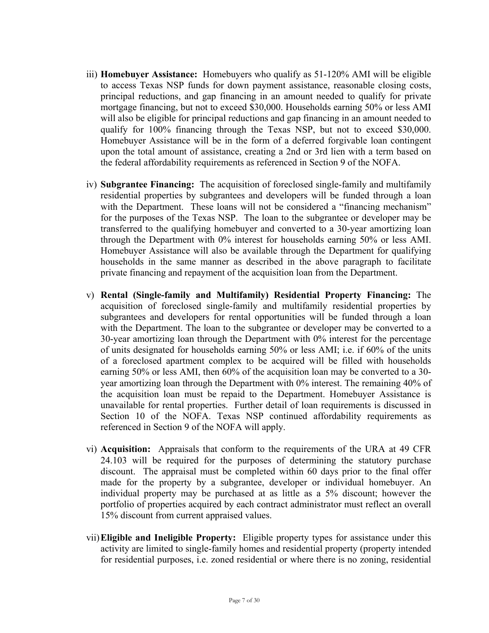- iii) **Homebuyer Assistance:** Homebuyers who qualify as 51-120% AMI will be eligible to access Texas NSP funds for down payment assistance, reasonable closing costs, principal reductions, and gap financing in an amount needed to qualify for private mortgage financing, but not to exceed \$30,000. Households earning 50% or less AMI will also be eligible for principal reductions and gap financing in an amount needed to qualify for 100% financing through the Texas NSP, but not to exceed \$30,000. Homebuyer Assistance will be in the form of a deferred forgivable loan contingent upon the total amount of assistance, creating a 2nd or 3rd lien with a term based on the federal affordability requirements as referenced in Section 9 of the NOFA.
- iv) **Subgrantee Financing:** The acquisition of foreclosed single-family and multifamily residential properties by subgrantees and developers will be funded through a loan with the Department. These loans will not be considered a "financing mechanism" for the purposes of the Texas NSP. The loan to the subgrantee or developer may be transferred to the qualifying homebuyer and converted to a 30-year amortizing loan through the Department with 0% interest for households earning 50% or less AMI. Homebuyer Assistance will also be available through the Department for qualifying households in the same manner as described in the above paragraph to facilitate private financing and repayment of the acquisition loan from the Department.
- v) **Rental (Single-family and Multifamily) Residential Property Financing:** The acquisition of foreclosed single-family and multifamily residential properties by subgrantees and developers for rental opportunities will be funded through a loan with the Department. The loan to the subgrantee or developer may be converted to a 30-year amortizing loan through the Department with 0% interest for the percentage of units designated for households earning 50% or less AMI; i.e. if 60% of the units of a foreclosed apartment complex to be acquired will be filled with households earning 50% or less AMI, then 60% of the acquisition loan may be converted to a 30 year amortizing loan through the Department with 0% interest. The remaining 40% of the acquisition loan must be repaid to the Department. Homebuyer Assistance is unavailable for rental properties. Further detail of loan requirements is discussed in Section 10 of the NOFA. Texas NSP continued affordability requirements as referenced in Section 9 of the NOFA will apply.
- vi) **Acquisition:** Appraisals that conform to the requirements of the URA at 49 CFR 24.103 will be required for the purposes of determining the statutory purchase discount. The appraisal must be completed within 60 days prior to the final offer made for the property by a subgrantee, developer or individual homebuyer. An individual property may be purchased at as little as a 5% discount; however the portfolio of properties acquired by each contract administrator must reflect an overall 15% discount from current appraised values.
- vii)**Eligible and Ineligible Property:** Eligible property types for assistance under this activity are limited to single-family homes and residential property (property intended for residential purposes, i.e. zoned residential or where there is no zoning, residential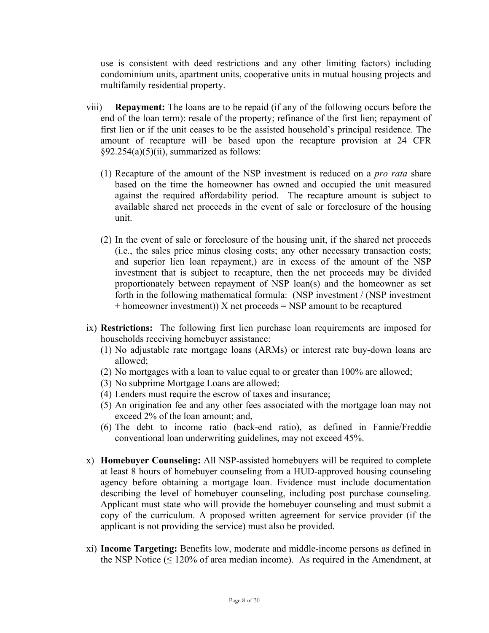use is consistent with deed restrictions and any other limiting factors) including condominium units, apartment units, cooperative units in mutual housing projects and multifamily residential property.

- viii) **Repayment:** The loans are to be repaid (if any of the following occurs before the end of the loan term): resale of the property; refinance of the first lien; repayment of first lien or if the unit ceases to be the assisted household's principal residence. The amount of recapture will be based upon the recapture provision at 24 CFR  $§92.254(a)(5)(ii)$ , summarized as follows:
	- (1) Recapture of the amount of the NSP investment is reduced on a *pro rata* share based on the time the homeowner has owned and occupied the unit measured against the required affordability period. The recapture amount is subject to available shared net proceeds in the event of sale or foreclosure of the housing unit.
	- (2) In the event of sale or foreclosure of the housing unit, if the shared net proceeds (i.e., the sales price minus closing costs; any other necessary transaction costs; and superior lien loan repayment,) are in excess of the amount of the NSP investment that is subject to recapture, then the net proceeds may be divided proportionately between repayment of NSP loan(s) and the homeowner as set forth in the following mathematical formula: (NSP investment / (NSP investment  $+$  homeowner investment)) X net proceeds  $=$  NSP amount to be recaptured
- ix) **Restrictions:** The following first lien purchase loan requirements are imposed for households receiving homebuyer assistance:
	- (1) No adjustable rate mortgage loans (ARMs) or interest rate buy-down loans are allowed;
	- (2) No mortgages with a loan to value equal to or greater than 100% are allowed;
	- (3) No subprime Mortgage Loans are allowed;
	- (4) Lenders must require the escrow of taxes and insurance;
	- (5) An origination fee and any other fees associated with the mortgage loan may not exceed 2% of the loan amount; and,
	- (6) The debt to income ratio (back-end ratio), as defined in Fannie/Freddie conventional loan underwriting guidelines, may not exceed 45%.
- x) **Homebuyer Counseling:** All NSP-assisted homebuyers will be required to complete at least 8 hours of homebuyer counseling from a HUD-approved housing counseling agency before obtaining a mortgage loan. Evidence must include documentation describing the level of homebuyer counseling, including post purchase counseling. Applicant must state who will provide the homebuyer counseling and must submit a copy of the curriculum. A proposed written agreement for service provider (if the applicant is not providing the service) must also be provided.
- xi) **Income Targeting:** Benefits low, moderate and middle-income persons as defined in the NSP Notice ( $\leq 120\%$  of area median income). As required in the Amendment, at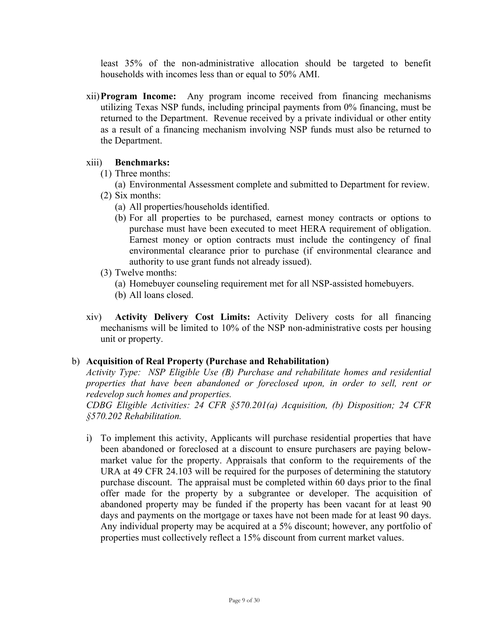least 35% of the non-administrative allocation should be targeted to benefit households with incomes less than or equal to 50% AMI.

xii)**Program Income:** Any program income received from financing mechanisms utilizing Texas NSP funds, including principal payments from 0% financing, must be returned to the Department. Revenue received by a private individual or other entity as a result of a financing mechanism involving NSP funds must also be returned to the Department.

#### xiii) **Benchmarks:**

- (1) Three months:
	- (a) Environmental Assessment complete and submitted to Department for review.
- (2) Six months:
	- (a) All properties/households identified.
	- (b) For all properties to be purchased, earnest money contracts or options to purchase must have been executed to meet HERA requirement of obligation. Earnest money or option contracts must include the contingency of final environmental clearance prior to purchase (if environmental clearance and authority to use grant funds not already issued).
- (3) Twelve months:
	- (a) Homebuyer counseling requirement met for all NSP-assisted homebuyers.
	- (b) All loans closed.
- xiv) **Activity Delivery Cost Limits:** Activity Delivery costs for all financing mechanisms will be limited to 10% of the NSP non-administrative costs per housing unit or property.

# b) **Acquisition of Real Property (Purchase and Rehabilitation)**

*Activity Type: NSP Eligible Use (B) Purchase and rehabilitate homes and residential properties that have been abandoned or foreclosed upon, in order to sell, rent or redevelop such homes and properties.* 

*CDBG Eligible Activities: 24 CFR §570.201(a) Acquisition, (b) Disposition; 24 CFR §570.202 Rehabilitation.* 

i) To implement this activity, Applicants will purchase residential properties that have been abandoned or foreclosed at a discount to ensure purchasers are paying belowmarket value for the property. Appraisals that conform to the requirements of the URA at 49 CFR 24.103 will be required for the purposes of determining the statutory purchase discount. The appraisal must be completed within 60 days prior to the final offer made for the property by a subgrantee or developer. The acquisition of abandoned property may be funded if the property has been vacant for at least 90 days and payments on the mortgage or taxes have not been made for at least 90 days. Any individual property may be acquired at a 5% discount; however, any portfolio of properties must collectively reflect a 15% discount from current market values.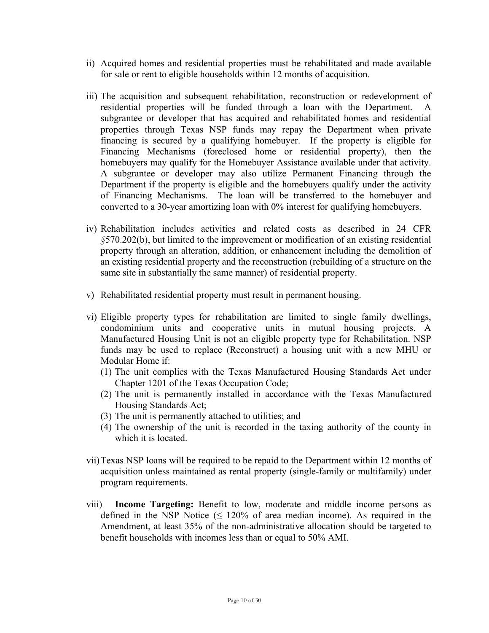- ii) Acquired homes and residential properties must be rehabilitated and made available for sale or rent to eligible households within 12 months of acquisition.
- iii) The acquisition and subsequent rehabilitation, reconstruction or redevelopment of residential properties will be funded through a loan with the Department. A subgrantee or developer that has acquired and rehabilitated homes and residential properties through Texas NSP funds may repay the Department when private financing is secured by a qualifying homebuyer. If the property is eligible for Financing Mechanisms (foreclosed home or residential property), then the homebuyers may qualify for the Homebuyer Assistance available under that activity. A subgrantee or developer may also utilize Permanent Financing through the Department if the property is eligible and the homebuyers qualify under the activity of Financing Mechanisms. The loan will be transferred to the homebuyer and converted to a 30-year amortizing loan with 0% interest for qualifying homebuyers.
- iv) Rehabilitation includes activities and related costs as described in 24 CFR *§*570.202(b), but limited to the improvement or modification of an existing residential property through an alteration, addition, or enhancement including the demolition of an existing residential property and the reconstruction (rebuilding of a structure on the same site in substantially the same manner) of residential property.
- v) Rehabilitated residential property must result in permanent housing.
- vi) Eligible property types for rehabilitation are limited to single family dwellings, condominium units and cooperative units in mutual housing projects. A Manufactured Housing Unit is not an eligible property type for Rehabilitation. NSP funds may be used to replace (Reconstruct) a housing unit with a new MHU or Modular Home if:
	- (1) The unit complies with the Texas Manufactured Housing Standards Act under Chapter 1201 of the Texas Occupation Code;
	- (2) The unit is permanently installed in accordance with the Texas Manufactured Housing Standards Act;
	- (3) The unit is permanently attached to utilities; and
	- (4) The ownership of the unit is recorded in the taxing authority of the county in which it is located.
- vii)Texas NSP loans will be required to be repaid to the Department within 12 months of acquisition unless maintained as rental property (single-family or multifamily) under program requirements.
- viii) **Income Targeting:** Benefit to low, moderate and middle income persons as defined in the NSP Notice  $( \leq 120\%$  of area median income). As required in the Amendment, at least 35% of the non-administrative allocation should be targeted to benefit households with incomes less than or equal to 50% AMI.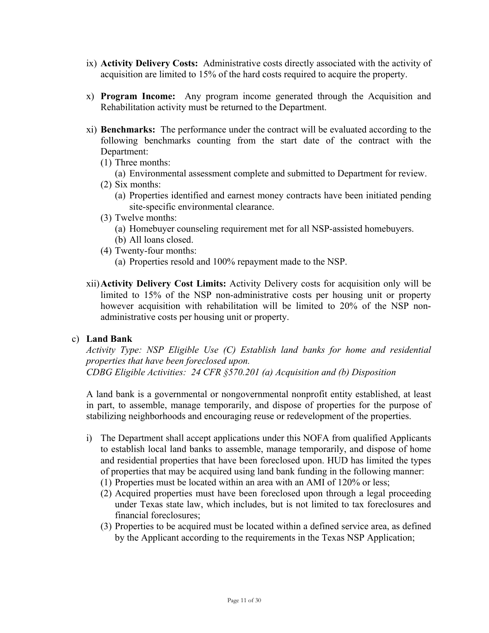- ix) **Activity Delivery Costs:** Administrative costs directly associated with the activity of acquisition are limited to 15% of the hard costs required to acquire the property.
- x) **Program Income:** Any program income generated through the Acquisition and Rehabilitation activity must be returned to the Department.
- xi) **Benchmarks:** The performance under the contract will be evaluated according to the following benchmarks counting from the start date of the contract with the Department:
	- (1) Three months:
		- (a) Environmental assessment complete and submitted to Department for review.
	- (2) Six months:
		- (a) Properties identified and earnest money contracts have been initiated pending site-specific environmental clearance.
	- (3) Twelve months:
		- (a) Homebuyer counseling requirement met for all NSP-assisted homebuyers. (b) All loans closed.
	- (4) Twenty-four months: (a) Properties resold and 100% repayment made to the NSP.
- xii)**Activity Delivery Cost Limits:** Activity Delivery costs for acquisition only will be limited to 15% of the NSP non-administrative costs per housing unit or property however acquisition with rehabilitation will be limited to 20% of the NSP nonadministrative costs per housing unit or property.

#### c) **Land Bank**

*Activity Type: NSP Eligible Use (C) Establish land banks for home and residential properties that have been foreclosed upon. CDBG Eligible Activities: 24 CFR §570.201 (a) Acquisition and (b) Disposition* 

A land bank is a governmental or nongovernmental nonprofit entity established, at least in part, to assemble, manage temporarily, and dispose of properties for the purpose of stabilizing neighborhoods and encouraging reuse or redevelopment of the properties.

- i) The Department shall accept applications under this NOFA from qualified Applicants to establish local land banks to assemble, manage temporarily, and dispose of home and residential properties that have been foreclosed upon. HUD has limited the types of properties that may be acquired using land bank funding in the following manner:
	- (1) Properties must be located within an area with an AMI of 120% or less;
	- (2) Acquired properties must have been foreclosed upon through a legal proceeding under Texas state law, which includes, but is not limited to tax foreclosures and financial foreclosures;
	- (3) Properties to be acquired must be located within a defined service area, as defined by the Applicant according to the requirements in the Texas NSP Application;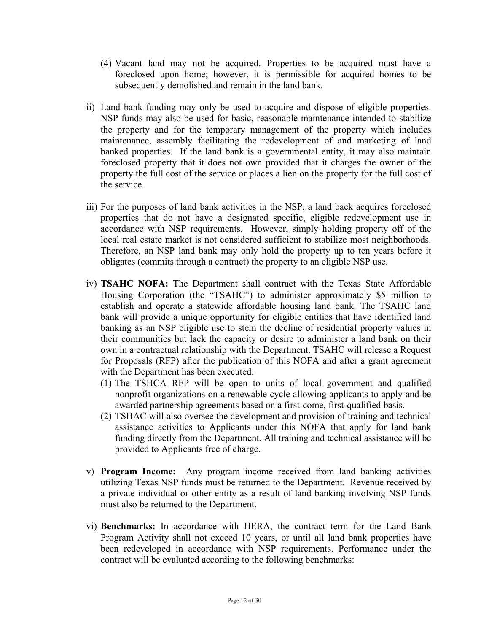- (4) Vacant land may not be acquired. Properties to be acquired must have a foreclosed upon home; however, it is permissible for acquired homes to be subsequently demolished and remain in the land bank.
- ii) Land bank funding may only be used to acquire and dispose of eligible properties. NSP funds may also be used for basic, reasonable maintenance intended to stabilize the property and for the temporary management of the property which includes maintenance, assembly facilitating the redevelopment of and marketing of land banked properties. If the land bank is a governmental entity, it may also maintain foreclosed property that it does not own provided that it charges the owner of the property the full cost of the service or places a lien on the property for the full cost of the service.
- iii) For the purposes of land bank activities in the NSP, a land back acquires foreclosed properties that do not have a designated specific, eligible redevelopment use in accordance with NSP requirements. However, simply holding property off of the local real estate market is not considered sufficient to stabilize most neighborhoods. Therefore, an NSP land bank may only hold the property up to ten years before it obligates (commits through a contract) the property to an eligible NSP use.
- iv) **TSAHC NOFA:** The Department shall contract with the Texas State Affordable Housing Corporation (the "TSAHC") to administer approximately \$5 million to establish and operate a statewide affordable housing land bank. The TSAHC land bank will provide a unique opportunity for eligible entities that have identified land banking as an NSP eligible use to stem the decline of residential property values in their communities but lack the capacity or desire to administer a land bank on their own in a contractual relationship with the Department. TSAHC will release a Request for Proposals (RFP) after the publication of this NOFA and after a grant agreement with the Department has been executed.
	- (1) The TSHCA RFP will be open to units of local government and qualified nonprofit organizations on a renewable cycle allowing applicants to apply and be awarded partnership agreements based on a first-come, first-qualified basis.
	- (2) TSHAC will also oversee the development and provision of training and technical assistance activities to Applicants under this NOFA that apply for land bank funding directly from the Department. All training and technical assistance will be provided to Applicants free of charge.
- v) **Program Income:** Any program income received from land banking activities utilizing Texas NSP funds must be returned to the Department. Revenue received by a private individual or other entity as a result of land banking involving NSP funds must also be returned to the Department.
- vi) **Benchmarks:** In accordance with HERA, the contract term for the Land Bank Program Activity shall not exceed 10 years, or until all land bank properties have been redeveloped in accordance with NSP requirements. Performance under the contract will be evaluated according to the following benchmarks: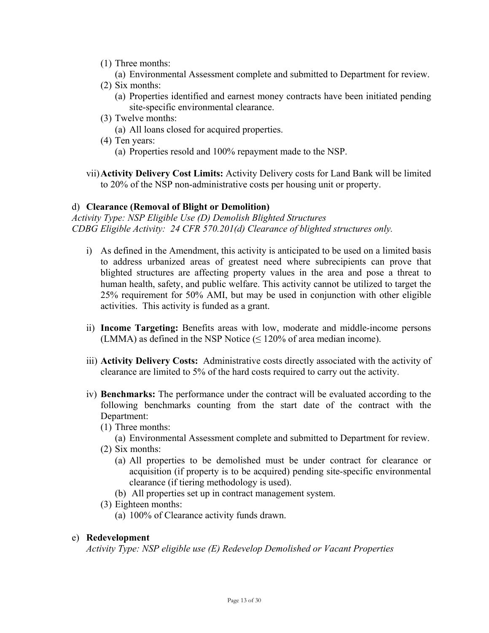- (1) Three months:
	- (a) Environmental Assessment complete and submitted to Department for review.
- (2) Six months:
	- (a) Properties identified and earnest money contracts have been initiated pending site-specific environmental clearance.
- (3) Twelve months:
	- (a) All loans closed for acquired properties.
- (4) Ten years:
	- (a) Properties resold and 100% repayment made to the NSP.
- vii)**Activity Delivery Cost Limits:** Activity Delivery costs for Land Bank will be limited to 20% of the NSP non-administrative costs per housing unit or property.

#### d) **Clearance (Removal of Blight or Demolition)**

*Activity Type: NSP Eligible Use (D) Demolish Blighted Structures CDBG Eligible Activity: 24 CFR 570.201(d) Clearance of blighted structures only.* 

- i) As defined in the Amendment, this activity is anticipated to be used on a limited basis to address urbanized areas of greatest need where subrecipients can prove that blighted structures are affecting property values in the area and pose a threat to human health, safety, and public welfare. This activity cannot be utilized to target the 25% requirement for 50% AMI, but may be used in conjunction with other eligible activities. This activity is funded as a grant.
- ii) **Income Targeting:** Benefits areas with low, moderate and middle-income persons (LMMA) as defined in the NSP Notice ( $\leq$  120% of area median income).
- iii) **Activity Delivery Costs:** Administrative costs directly associated with the activity of clearance are limited to 5% of the hard costs required to carry out the activity.
- iv) **Benchmarks:** The performance under the contract will be evaluated according to the following benchmarks counting from the start date of the contract with the Department:
	- (1) Three months:
		- (a) Environmental Assessment complete and submitted to Department for review.
	- (2) Six months:
		- (a) All properties to be demolished must be under contract for clearance or acquisition (if property is to be acquired) pending site-specific environmental clearance (if tiering methodology is used).
		- (b) All properties set up in contract management system.
	- (3) Eighteen months:
		- (a) 100% of Clearance activity funds drawn.

#### e) **Redevelopment**

*Activity Type: NSP eligible use (E) Redevelop Demolished or Vacant Properties*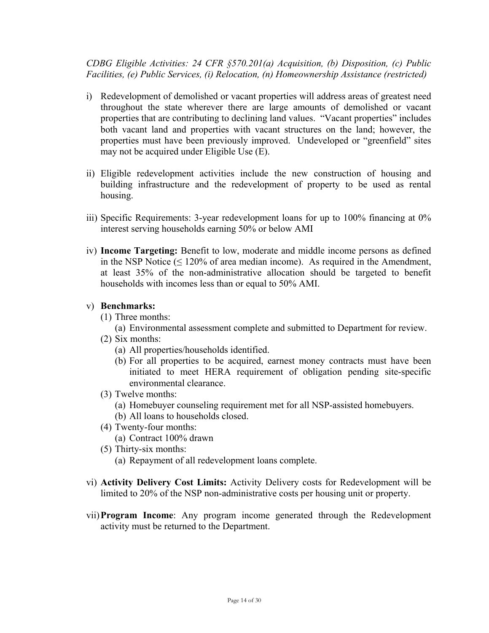*CDBG Eligible Activities: 24 CFR §570.201(a) Acquisition, (b) Disposition, (c) Public Facilities, (e) Public Services, (i) Relocation, (n) Homeownership Assistance (restricted)* 

- i) Redevelopment of demolished or vacant properties will address areas of greatest need throughout the state wherever there are large amounts of demolished or vacant properties that are contributing to declining land values. "Vacant properties" includes both vacant land and properties with vacant structures on the land; however, the properties must have been previously improved. Undeveloped or "greenfield" sites may not be acquired under Eligible Use (E).
- ii) Eligible redevelopment activities include the new construction of housing and building infrastructure and the redevelopment of property to be used as rental housing.
- iii) Specific Requirements: 3-year redevelopment loans for up to 100% financing at 0% interest serving households earning 50% or below AMI
- iv) **Income Targeting:** Benefit to low, moderate and middle income persons as defined in the NSP Notice  $( \leq 120\%$  of area median income). As required in the Amendment, at least 35% of the non-administrative allocation should be targeted to benefit households with incomes less than or equal to 50% AMI.

#### v) **Benchmarks:**

- (1) Three months:
	- (a) Environmental assessment complete and submitted to Department for review.
- (2) Six months:
	- (a) All properties/households identified.
	- (b) For all properties to be acquired, earnest money contracts must have been initiated to meet HERA requirement of obligation pending site-specific environmental clearance.
- (3) Twelve months:
	- (a) Homebuyer counseling requirement met for all NSP-assisted homebuyers.
	- (b) All loans to households closed.
- (4) Twenty-four months:
	- (a) Contract 100% drawn
- (5) Thirty-six months:
	- (a) Repayment of all redevelopment loans complete.
- vi) **Activity Delivery Cost Limits:** Activity Delivery costs for Redevelopment will be limited to 20% of the NSP non-administrative costs per housing unit or property.
- vii)**Program Income**: Any program income generated through the Redevelopment activity must be returned to the Department.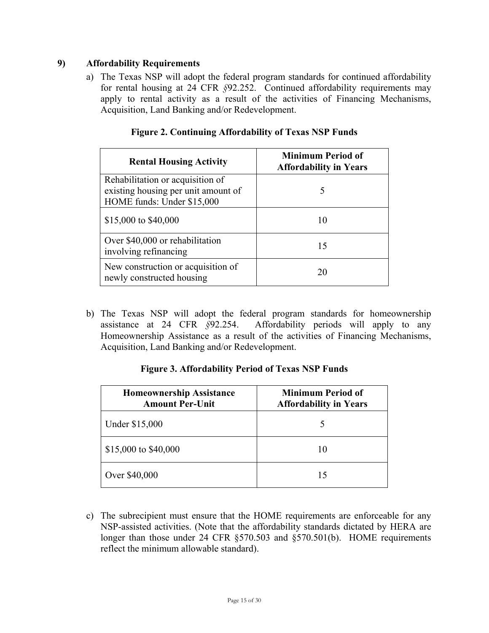# **9) Affordability Requirements**

a) The Texas NSP will adopt the federal program standards for continued affordability for rental housing at 24 CFR *§*92.252. Continued affordability requirements may apply to rental activity as a result of the activities of Financing Mechanisms, Acquisition, Land Banking and/or Redevelopment.

| <b>Rental Housing Activity</b>                                                                        | <b>Minimum Period of</b><br><b>Affordability in Years</b> |
|-------------------------------------------------------------------------------------------------------|-----------------------------------------------------------|
| Rehabilitation or acquisition of<br>existing housing per unit amount of<br>HOME funds: Under \$15,000 |                                                           |
| \$15,000 to \$40,000                                                                                  |                                                           |
| Over \$40,000 or rehabilitation<br>involving refinancing                                              | 15                                                        |
| New construction or acquisition of<br>newly constructed housing                                       |                                                           |

# **Figure 2. Continuing Affordability of Texas NSP Funds**

b) The Texas NSP will adopt the federal program standards for homeownership assistance at 24 CFR *§*92.254. Affordability periods will apply to any Homeownership Assistance as a result of the activities of Financing Mechanisms, Acquisition, Land Banking and/or Redevelopment.

# **Figure 3. Affordability Period of Texas NSP Funds**

| <b>Homeownership Assistance</b><br><b>Amount Per-Unit</b> | <b>Minimum Period of</b><br><b>Affordability in Years</b> |  |  |  |
|-----------------------------------------------------------|-----------------------------------------------------------|--|--|--|
| Under \$15,000                                            |                                                           |  |  |  |
| \$15,000 to \$40,000                                      | 10                                                        |  |  |  |
| Over \$40,000                                             | 15                                                        |  |  |  |

c) The subrecipient must ensure that the HOME requirements are enforceable for any NSP-assisted activities. (Note that the affordability standards dictated by HERA are longer than those under 24 CFR §570.503 and §570.501(b). HOME requirements reflect the minimum allowable standard).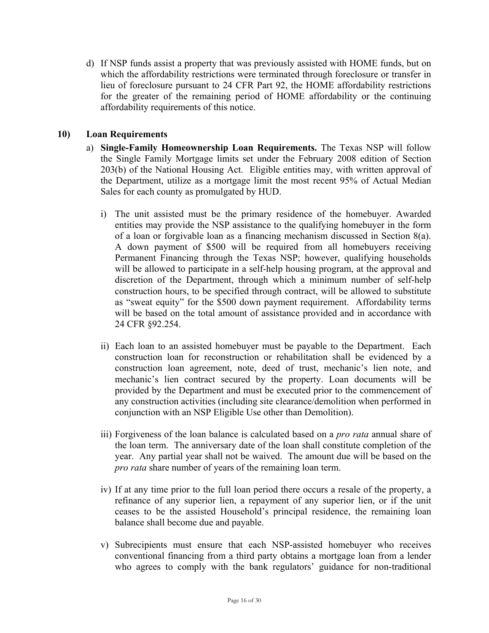d) If NSP funds assist a property that was previously assisted with HOME funds, but on which the affordability restrictions were terminated through foreclosure or transfer in lieu of foreclosure pursuant to 24 CFR Part 92, the HOME affordability restrictions for the greater of the remaining period of HOME affordability or the continuing affordability requirements of this notice.

# **10) Loan Requirements**

- a) **Single-Family Homeownership Loan Requirements.** The Texas NSP will follow the Single Family Mortgage limits set under the February 2008 edition of Section 203(b) of the National Housing Act. Eligible entities may, with written approval of the Department, utilize as a mortgage limit the most recent 95% of Actual Median Sales for each county as promulgated by HUD.
	- i) The unit assisted must be the primary residence of the homebuyer. Awarded entities may provide the NSP assistance to the qualifying homebuyer in the form of a loan or forgivable loan as a financing mechanism discussed in Section 8(a). A down payment of \$500 will be required from all homebuyers receiving Permanent Financing through the Texas NSP; however, qualifying households will be allowed to participate in a self-help housing program, at the approval and discretion of the Department, through which a minimum number of self-help construction hours, to be specified through contract, will be allowed to substitute as "sweat equity" for the \$500 down payment requirement. Affordability terms will be based on the total amount of assistance provided and in accordance with 24 CFR §92.254.
	- ii) Each loan to an assisted homebuyer must be payable to the Department. Each construction loan for reconstruction or rehabilitation shall be evidenced by a construction loan agreement, note, deed of trust, mechanic's lien note, and mechanic's lien contract secured by the property. Loan documents will be provided by the Department and must be executed prior to the commencement of any construction activities (including site clearance/demolition when performed in conjunction with an NSP Eligible Use other than Demolition).
	- iii) Forgiveness of the loan balance is calculated based on a *pro rata* annual share of the loan term. The anniversary date of the loan shall constitute completion of the year. Any partial year shall not be waived. The amount due will be based on the *pro rata* share number of years of the remaining loan term.
	- iv) If at any time prior to the full loan period there occurs a resale of the property, a refinance of any superior lien, a repayment of any superior lien, or if the unit ceases to be the assisted Household's principal residence, the remaining loan balance shall become due and payable.
	- v) Subrecipients must ensure that each NSP-assisted homebuyer who receives conventional financing from a third party obtains a mortgage loan from a lender who agrees to comply with the bank regulators' guidance for non-traditional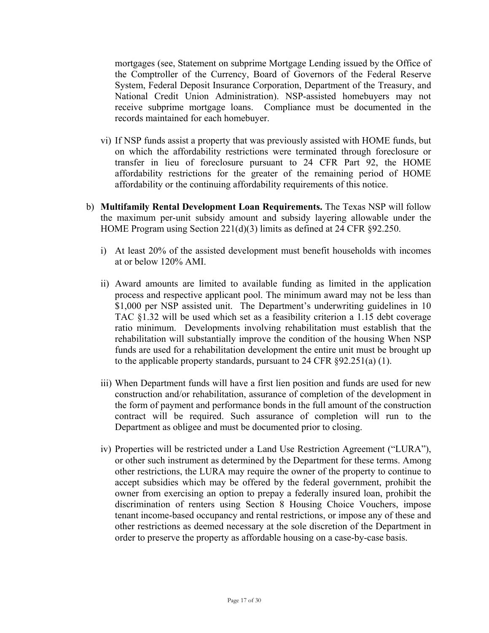mortgages (see, Statement on subprime Mortgage Lending issued by the Office of the Comptroller of the Currency, Board of Governors of the Federal Reserve System, Federal Deposit Insurance Corporation, Department of the Treasury, and National Credit Union Administration). NSP-assisted homebuyers may not receive subprime mortgage loans. Compliance must be documented in the records maintained for each homebuyer.

- vi) If NSP funds assist a property that was previously assisted with HOME funds, but on which the affordability restrictions were terminated through foreclosure or transfer in lieu of foreclosure pursuant to 24 CFR Part 92, the HOME affordability restrictions for the greater of the remaining period of HOME affordability or the continuing affordability requirements of this notice.
- b) **Multifamily Rental Development Loan Requirements.** The Texas NSP will follow the maximum per-unit subsidy amount and subsidy layering allowable under the HOME Program using Section 221(d)(3) limits as defined at 24 CFR §92.250.
	- i) At least 20% of the assisted development must benefit households with incomes at or below 120% AMI.
	- ii) Award amounts are limited to available funding as limited in the application process and respective applicant pool. The minimum award may not be less than \$1,000 per NSP assisted unit. The Department's underwriting guidelines in 10 TAC §1.32 will be used which set as a feasibility criterion a 1.15 debt coverage ratio minimum. Developments involving rehabilitation must establish that the rehabilitation will substantially improve the condition of the housing When NSP funds are used for a rehabilitation development the entire unit must be brought up to the applicable property standards, pursuant to 24 CFR §92.251(a) (1).
	- iii) When Department funds will have a first lien position and funds are used for new construction and/or rehabilitation, assurance of completion of the development in the form of payment and performance bonds in the full amount of the construction contract will be required. Such assurance of completion will run to the Department as obligee and must be documented prior to closing.
	- iv) Properties will be restricted under a Land Use Restriction Agreement ("LURA"), or other such instrument as determined by the Department for these terms. Among other restrictions, the LURA may require the owner of the property to continue to accept subsidies which may be offered by the federal government, prohibit the owner from exercising an option to prepay a federally insured loan, prohibit the discrimination of renters using Section 8 Housing Choice Vouchers, impose tenant income-based occupancy and rental restrictions, or impose any of these and other restrictions as deemed necessary at the sole discretion of the Department in order to preserve the property as affordable housing on a case-by-case basis.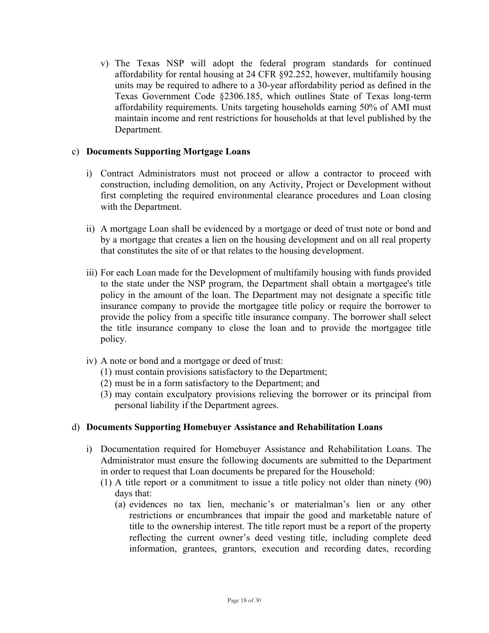v) The Texas NSP will adopt the federal program standards for continued affordability for rental housing at 24 CFR §92.252, however, multifamily housing units may be required to adhere to a 30-year affordability period as defined in the Texas Government Code §2306.185, which outlines State of Texas long-term affordability requirements. Units targeting households earning 50% of AMI must maintain income and rent restrictions for households at that level published by the Department.

#### c) **Documents Supporting Mortgage Loans**

- i) Contract Administrators must not proceed or allow a contractor to proceed with construction, including demolition, on any Activity, Project or Development without first completing the required environmental clearance procedures and Loan closing with the Department.
- ii) A mortgage Loan shall be evidenced by a mortgage or deed of trust note or bond and by a mortgage that creates a lien on the housing development and on all real property that constitutes the site of or that relates to the housing development.
- iii) For each Loan made for the Development of multifamily housing with funds provided to the state under the NSP program, the Department shall obtain a mortgagee's title policy in the amount of the loan. The Department may not designate a specific title insurance company to provide the mortgagee title policy or require the borrower to provide the policy from a specific title insurance company. The borrower shall select the title insurance company to close the loan and to provide the mortgagee title policy.
- iv) A note or bond and a mortgage or deed of trust:
	- (1) must contain provisions satisfactory to the Department;
	- (2) must be in a form satisfactory to the Department; and
	- (3) may contain exculpatory provisions relieving the borrower or its principal from personal liability if the Department agrees.

#### d) **Documents Supporting Homebuyer Assistance and Rehabilitation Loans**

- i) Documentation required for Homebuyer Assistance and Rehabilitation Loans. The Administrator must ensure the following documents are submitted to the Department in order to request that Loan documents be prepared for the Household:
	- (1) A title report or a commitment to issue a title policy not older than ninety (90) days that:
		- (a) evidences no tax lien, mechanic's or materialman's lien or any other restrictions or encumbrances that impair the good and marketable nature of title to the ownership interest. The title report must be a report of the property reflecting the current owner's deed vesting title, including complete deed information, grantees, grantors, execution and recording dates, recording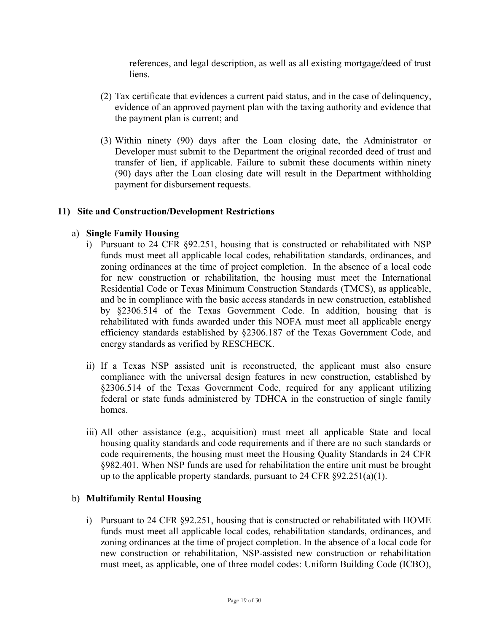references, and legal description, as well as all existing mortgage/deed of trust liens.

- (2) Tax certificate that evidences a current paid status, and in the case of delinquency, evidence of an approved payment plan with the taxing authority and evidence that the payment plan is current; and
- (3) Within ninety (90) days after the Loan closing date, the Administrator or Developer must submit to the Department the original recorded deed of trust and transfer of lien, if applicable. Failure to submit these documents within ninety (90) days after the Loan closing date will result in the Department withholding payment for disbursement requests.

#### **11) Site and Construction/Development Restrictions**

#### a) **Single Family Housing**

- i) Pursuant to 24 CFR §92.251, housing that is constructed or rehabilitated with NSP funds must meet all applicable local codes, rehabilitation standards, ordinances, and zoning ordinances at the time of project completion. In the absence of a local code for new construction or rehabilitation, the housing must meet the International Residential Code or Texas Minimum Construction Standards (TMCS), as applicable, and be in compliance with the basic access standards in new construction, established by §2306.514 of the Texas Government Code. In addition, housing that is rehabilitated with funds awarded under this NOFA must meet all applicable energy efficiency standards established by §2306.187 of the Texas Government Code, and energy standards as verified by RESCHECK.
- ii) If a Texas NSP assisted unit is reconstructed, the applicant must also ensure compliance with the universal design features in new construction, established by §2306.514 of the Texas Government Code, required for any applicant utilizing federal or state funds administered by TDHCA in the construction of single family homes.
- iii) All other assistance (e.g., acquisition) must meet all applicable State and local housing quality standards and code requirements and if there are no such standards or code requirements, the housing must meet the Housing Quality Standards in 24 CFR §982.401. When NSP funds are used for rehabilitation the entire unit must be brought up to the applicable property standards, pursuant to 24 CFR  $\S 92.251(a)(1)$ .

#### b) **Multifamily Rental Housing**

i) Pursuant to 24 CFR §92.251, housing that is constructed or rehabilitated with HOME funds must meet all applicable local codes, rehabilitation standards, ordinances, and zoning ordinances at the time of project completion. In the absence of a local code for new construction or rehabilitation, NSP-assisted new construction or rehabilitation must meet, as applicable, one of three model codes: Uniform Building Code (ICBO),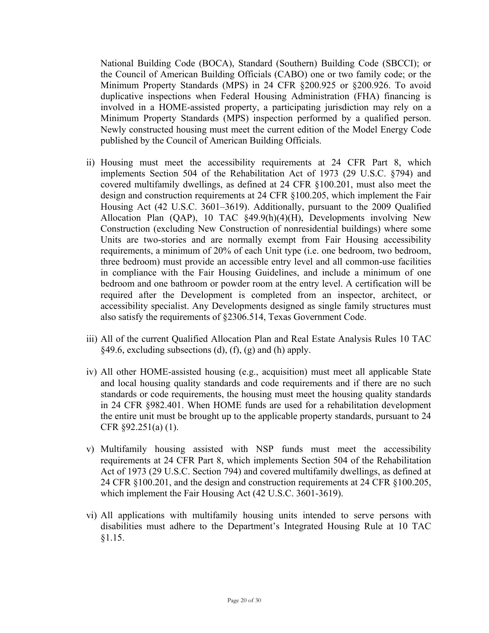National Building Code (BOCA), Standard (Southern) Building Code (SBCCI); or the Council of American Building Officials (CABO) one or two family code; or the Minimum Property Standards (MPS) in 24 CFR §200.925 or §200.926. To avoid duplicative inspections when Federal Housing Administration (FHA) financing is involved in a HOME-assisted property, a participating jurisdiction may rely on a Minimum Property Standards (MPS) inspection performed by a qualified person. Newly constructed housing must meet the current edition of the Model Energy Code published by the Council of American Building Officials.

- ii) Housing must meet the accessibility requirements at 24 CFR Part 8, which implements Section 504 of the Rehabilitation Act of 1973 (29 U.S.C. §794) and covered multifamily dwellings, as defined at 24 CFR §100.201, must also meet the design and construction requirements at 24 CFR §100.205, which implement the Fair Housing Act (42 U.S.C. 3601–3619). Additionally, pursuant to the 2009 Qualified Allocation Plan (QAP), 10 TAC §49.9(h)(4)(H), Developments involving New Construction (excluding New Construction of nonresidential buildings) where some Units are two-stories and are normally exempt from Fair Housing accessibility requirements, a minimum of 20% of each Unit type (i.e. one bedroom, two bedroom, three bedroom) must provide an accessible entry level and all common-use facilities in compliance with the Fair Housing Guidelines, and include a minimum of one bedroom and one bathroom or powder room at the entry level. A certification will be required after the Development is completed from an inspector, architect, or accessibility specialist. Any Developments designed as single family structures must also satisfy the requirements of §2306.514, Texas Government Code.
- iii) All of the current Qualified Allocation Plan and Real Estate Analysis Rules 10 TAC  $§49.6$ , excluding subsections (d), (f), (g) and (h) apply.
- iv) All other HOME-assisted housing (e.g., acquisition) must meet all applicable State and local housing quality standards and code requirements and if there are no such standards or code requirements, the housing must meet the housing quality standards in 24 CFR §982.401. When HOME funds are used for a rehabilitation development the entire unit must be brought up to the applicable property standards, pursuant to 24 CFR §92.251(a) (1).
- v) Multifamily housing assisted with NSP funds must meet the accessibility requirements at 24 CFR Part 8, which implements Section 504 of the Rehabilitation Act of 1973 (29 U.S.C. Section 794) and covered multifamily dwellings, as defined at 24 CFR §100.201, and the design and construction requirements at 24 CFR §100.205, which implement the Fair Housing Act (42 U.S.C. 3601-3619).
- vi) All applications with multifamily housing units intended to serve persons with disabilities must adhere to the Department's Integrated Housing Rule at 10 TAC §1.15.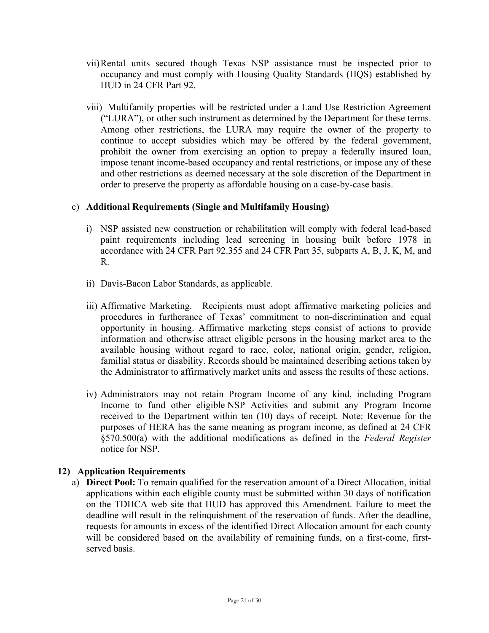- vii)Rental units secured though Texas NSP assistance must be inspected prior to occupancy and must comply with Housing Quality Standards (HQS) established by HUD in 24 CFR Part 92.
- viii) Multifamily properties will be restricted under a Land Use Restriction Agreement ("LURA"), or other such instrument as determined by the Department for these terms. Among other restrictions, the LURA may require the owner of the property to continue to accept subsidies which may be offered by the federal government, prohibit the owner from exercising an option to prepay a federally insured loan, impose tenant income-based occupancy and rental restrictions, or impose any of these and other restrictions as deemed necessary at the sole discretion of the Department in order to preserve the property as affordable housing on a case-by-case basis.

# c) **Additional Requirements (Single and Multifamily Housing)**

- i) NSP assisted new construction or rehabilitation will comply with federal lead-based paint requirements including lead screening in housing built before 1978 in accordance with 24 CFR Part 92.355 and 24 CFR Part 35, subparts A, B, J, K, M, and R.
- ii) Davis-Bacon Labor Standards, as applicable.
- iii) Affirmative Marketing. Recipients must adopt affirmative marketing policies and procedures in furtherance of Texas' commitment to non-discrimination and equal opportunity in housing. Affirmative marketing steps consist of actions to provide information and otherwise attract eligible persons in the housing market area to the available housing without regard to race, color, national origin, gender, religion, familial status or disability. Records should be maintained describing actions taken by the Administrator to affirmatively market units and assess the results of these actions.
- iv) Administrators may not retain Program Income of any kind, including Program Income to fund other eligible NSP Activities and submit any Program Income received to the Department within ten (10) days of receipt. Note: Revenue for the purposes of HERA has the same meaning as program income, as defined at 24 CFR §570.500(a) with the additional modifications as defined in the *Federal Register* notice for NSP.

# **12) Application Requirements**

a) **Direct Pool:** To remain qualified for the reservation amount of a Direct Allocation, initial applications within each eligible county must be submitted within 30 days of notification on the TDHCA web site that HUD has approved this Amendment. Failure to meet the deadline will result in the relinquishment of the reservation of funds. After the deadline, requests for amounts in excess of the identified Direct Allocation amount for each county will be considered based on the availability of remaining funds, on a first-come, firstserved basis.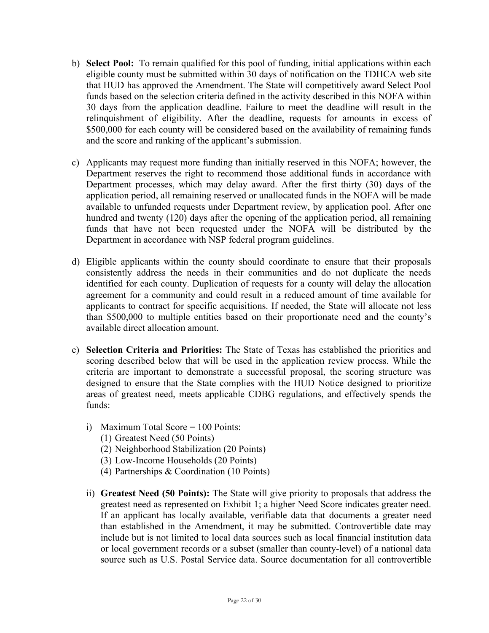- b) **Select Pool:** To remain qualified for this pool of funding, initial applications within each eligible county must be submitted within 30 days of notification on the TDHCA web site that HUD has approved the Amendment. The State will competitively award Select Pool funds based on the selection criteria defined in the activity described in this NOFA within 30 days from the application deadline. Failure to meet the deadline will result in the relinquishment of eligibility. After the deadline, requests for amounts in excess of \$500,000 for each county will be considered based on the availability of remaining funds and the score and ranking of the applicant's submission.
- c) Applicants may request more funding than initially reserved in this NOFA; however, the Department reserves the right to recommend those additional funds in accordance with Department processes, which may delay award. After the first thirty (30) days of the application period, all remaining reserved or unallocated funds in the NOFA will be made available to unfunded requests under Department review, by application pool. After one hundred and twenty (120) days after the opening of the application period, all remaining funds that have not been requested under the NOFA will be distributed by the Department in accordance with NSP federal program guidelines.
- d) Eligible applicants within the county should coordinate to ensure that their proposals consistently address the needs in their communities and do not duplicate the needs identified for each county. Duplication of requests for a county will delay the allocation agreement for a community and could result in a reduced amount of time available for applicants to contract for specific acquisitions. If needed, the State will allocate not less than \$500,000 to multiple entities based on their proportionate need and the county's available direct allocation amount.
- e) **Selection Criteria and Priorities:** The State of Texas has established the priorities and scoring described below that will be used in the application review process. While the criteria are important to demonstrate a successful proposal, the scoring structure was designed to ensure that the State complies with the HUD Notice designed to prioritize areas of greatest need, meets applicable CDBG regulations, and effectively spends the funds:
	- i) Maximum Total Score = 100 Points:
		- (1) Greatest Need (50 Points)
		- (2) Neighborhood Stabilization (20 Points)
		- (3) Low-Income Households (20 Points)
		- (4) Partnerships & Coordination (10 Points)
	- ii) **Greatest Need (50 Points):** The State will give priority to proposals that address the greatest need as represented on Exhibit 1; a higher Need Score indicates greater need. If an applicant has locally available, verifiable data that documents a greater need than established in the Amendment, it may be submitted. Controvertible date may include but is not limited to local data sources such as local financial institution data or local government records or a subset (smaller than county-level) of a national data source such as U.S. Postal Service data. Source documentation for all controvertible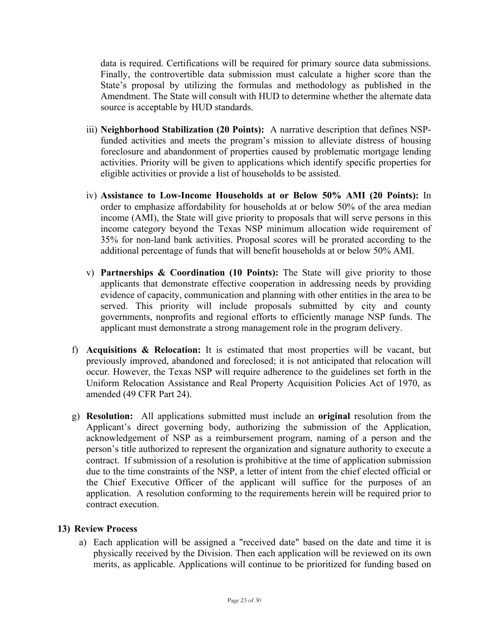data is required. Certifications will be required for primary source data submissions. Finally, the controvertible data submission must calculate a higher score than the State's proposal by utilizing the formulas and methodology as published in the Amendment. The State will consult with HUD to determine whether the alternate data source is acceptable by HUD standards.

- iii) **Neighborhood Stabilization (20 Points):** A narrative description that defines NSPfunded activities and meets the program's mission to alleviate distress of housing foreclosure and abandonment of properties caused by problematic mortgage lending activities. Priority will be given to applications which identify specific properties for eligible activities or provide a list of households to be assisted.
- iv) **Assistance to Low-Income Households at or Below 50% AMI (20 Points):** In order to emphasize affordability for households at or below 50% of the area median income (AMI), the State will give priority to proposals that will serve persons in this income category beyond the Texas NSP minimum allocation wide requirement of 35% for non-land bank activities. Proposal scores will be prorated according to the additional percentage of funds that will benefit households at or below 50% AMI.
- v) **Partnerships & Coordination (10 Points):** The State will give priority to those applicants that demonstrate effective cooperation in addressing needs by providing evidence of capacity, communication and planning with other entities in the area to be served. This priority will include proposals submitted by city and county governments, nonprofits and regional efforts to efficiently manage NSP funds. The applicant must demonstrate a strong management role in the program delivery.
- f) **Acquisitions & Relocation:** It is estimated that most properties will be vacant, but previously improved, abandoned and foreclosed; it is not anticipated that relocation will occur. However, the Texas NSP will require adherence to the guidelines set forth in the Uniform Relocation Assistance and Real Property Acquisition Policies Act of 1970, as amended (49 CFR Part 24).
- g) **Resolution:** All applications submitted must include an **original** resolution from the Applicant's direct governing body, authorizing the submission of the Application, acknowledgement of NSP as a reimbursement program, naming of a person and the person's title authorized to represent the organization and signature authority to execute a contract. If submission of a resolution is prohibitive at the time of application submission due to the time constraints of the NSP, a letter of intent from the chief elected official or the Chief Executive Officer of the applicant will suffice for the purposes of an application. A resolution conforming to the requirements herein will be required prior to contract execution.

#### **13) Review Process**

a) Each application will be assigned a "received date" based on the date and time it is physically received by the Division. Then each application will be reviewed on its own merits, as applicable. Applications will continue to be prioritized for funding based on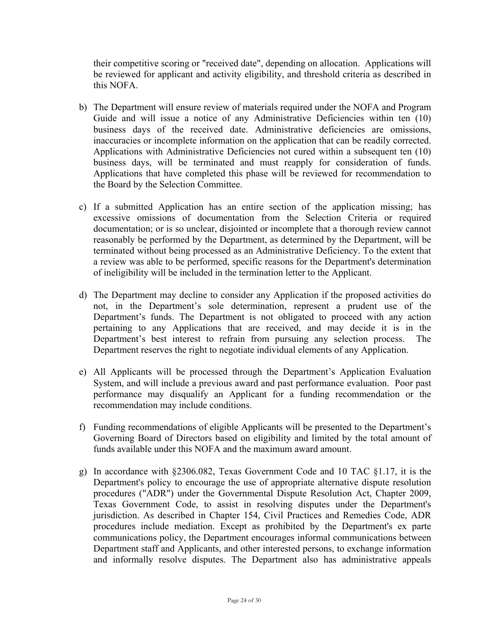their competitive scoring or "received date", depending on allocation. Applications will be reviewed for applicant and activity eligibility, and threshold criteria as described in this NOFA.

- b) The Department will ensure review of materials required under the NOFA and Program Guide and will issue a notice of any Administrative Deficiencies within ten (10) business days of the received date. Administrative deficiencies are omissions, inaccuracies or incomplete information on the application that can be readily corrected. Applications with Administrative Deficiencies not cured within a subsequent ten (10) business days, will be terminated and must reapply for consideration of funds. Applications that have completed this phase will be reviewed for recommendation to the Board by the Selection Committee.
- c) If a submitted Application has an entire section of the application missing; has excessive omissions of documentation from the Selection Criteria or required documentation; or is so unclear, disjointed or incomplete that a thorough review cannot reasonably be performed by the Department, as determined by the Department, will be terminated without being processed as an Administrative Deficiency. To the extent that a review was able to be performed, specific reasons for the Department's determination of ineligibility will be included in the termination letter to the Applicant.
- d) The Department may decline to consider any Application if the proposed activities do not, in the Department's sole determination, represent a prudent use of the Department's funds. The Department is not obligated to proceed with any action pertaining to any Applications that are received, and may decide it is in the Department's best interest to refrain from pursuing any selection process. The Department reserves the right to negotiate individual elements of any Application.
- e) All Applicants will be processed through the Department's Application Evaluation System, and will include a previous award and past performance evaluation. Poor past performance may disqualify an Applicant for a funding recommendation or the recommendation may include conditions.
- f) Funding recommendations of eligible Applicants will be presented to the Department's Governing Board of Directors based on eligibility and limited by the total amount of funds available under this NOFA and the maximum award amount.
- g) In accordance with §2306.082, Texas Government Code and 10 TAC §1.17, it is the Department's policy to encourage the use of appropriate alternative dispute resolution procedures ("ADR") under the Governmental Dispute Resolution Act, Chapter 2009, Texas Government Code, to assist in resolving disputes under the Department's jurisdiction. As described in Chapter 154, Civil Practices and Remedies Code, ADR procedures include mediation. Except as prohibited by the Department's ex parte communications policy, the Department encourages informal communications between Department staff and Applicants, and other interested persons, to exchange information and informally resolve disputes. The Department also has administrative appeals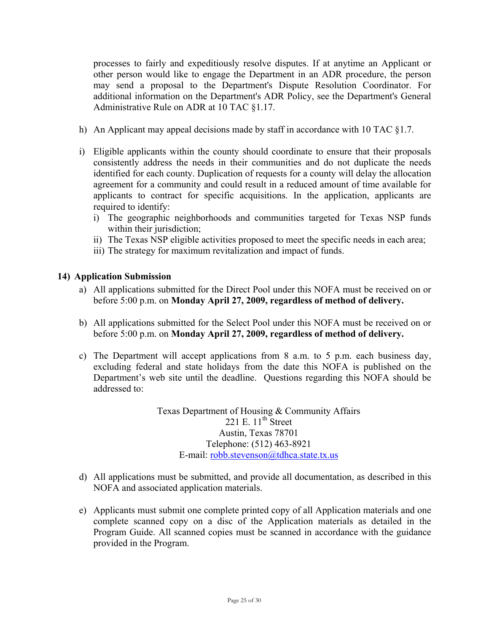processes to fairly and expeditiously resolve disputes. If at anytime an Applicant or other person would like to engage the Department in an ADR procedure, the person may send a proposal to the Department's Dispute Resolution Coordinator. For additional information on the Department's ADR Policy, see the Department's General Administrative Rule on ADR at 10 TAC §1.17.

- h) An Applicant may appeal decisions made by staff in accordance with 10 TAC  $\S$ 1.7.
- i) Eligible applicants within the county should coordinate to ensure that their proposals consistently address the needs in their communities and do not duplicate the needs identified for each county. Duplication of requests for a county will delay the allocation agreement for a community and could result in a reduced amount of time available for applicants to contract for specific acquisitions. In the application, applicants are required to identify:
	- i) The geographic neighborhoods and communities targeted for Texas NSP funds within their jurisdiction;
	- ii) The Texas NSP eligible activities proposed to meet the specific needs in each area;
	- iii) The strategy for maximum revitalization and impact of funds.

#### **14) Application Submission**

- a) All applications submitted for the Direct Pool under this NOFA must be received on or before 5:00 p.m. on **Monday April 27, 2009, regardless of method of delivery.**
- b) All applications submitted for the Select Pool under this NOFA must be received on or before 5:00 p.m. on **Monday April 27, 2009, regardless of method of delivery.**
- c) The Department will accept applications from 8 a.m. to 5 p.m. each business day, excluding federal and state holidays from the date this NOFA is published on the Department's web site until the deadline. Questions regarding this NOFA should be addressed to:

Texas Department of Housing & Community Affairs 221 E.  $11^{\text{th}}$  Street Austin, Texas 78701 Telephone: (512) 463-8921 E-mail: robb.stevenson@tdhca.state.tx.us

- d) All applications must be submitted, and provide all documentation, as described in this NOFA and associated application materials.
- e) Applicants must submit one complete printed copy of all Application materials and one complete scanned copy on a disc of the Application materials as detailed in the Program Guide. All scanned copies must be scanned in accordance with the guidance provided in the Program.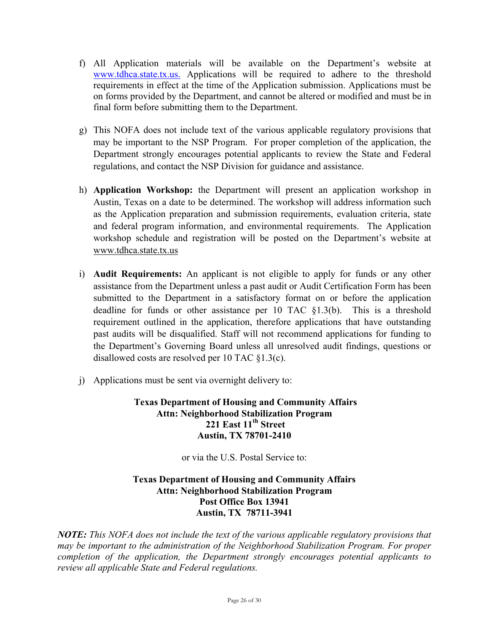- f) All Application materials will be available on the Department's website at www.tdhca.state.tx.us. Applications will be required to adhere to the threshold requirements in effect at the time of the Application submission. Applications must be on forms provided by the Department, and cannot be altered or modified and must be in final form before submitting them to the Department.
- g) This NOFA does not include text of the various applicable regulatory provisions that may be important to the NSP Program. For proper completion of the application, the Department strongly encourages potential applicants to review the State and Federal regulations, and contact the NSP Division for guidance and assistance.
- h) **Application Workshop:** the Department will present an application workshop in Austin, Texas on a date to be determined. The workshop will address information such as the Application preparation and submission requirements, evaluation criteria, state and federal program information, and environmental requirements. The Application workshop schedule and registration will be posted on the Department's website at www.tdhca.state.tx.us
- i) **Audit Requirements:** An applicant is not eligible to apply for funds or any other assistance from the Department unless a past audit or Audit Certification Form has been submitted to the Department in a satisfactory format on or before the application deadline for funds or other assistance per 10 TAC §1.3(b). This is a threshold requirement outlined in the application, therefore applications that have outstanding past audits will be disqualified. Staff will not recommend applications for funding to the Department's Governing Board unless all unresolved audit findings, questions or disallowed costs are resolved per 10 TAC §1.3(c).
- j) Applications must be sent via overnight delivery to:

# **Texas Department of Housing and Community Affairs Attn: Neighborhood Stabilization Program 221 East 11th Street Austin, TX 78701-2410**

or via the U.S. Postal Service to:

#### **Texas Department of Housing and Community Affairs Attn: Neighborhood Stabilization Program Post Office Box 13941 Austin, TX 78711-3941**

*NOTE: This NOFA does not include the text of the various applicable regulatory provisions that may be important to the administration of the Neighborhood Stabilization Program. For proper completion of the application, the Department strongly encourages potential applicants to review all applicable State and Federal regulations.*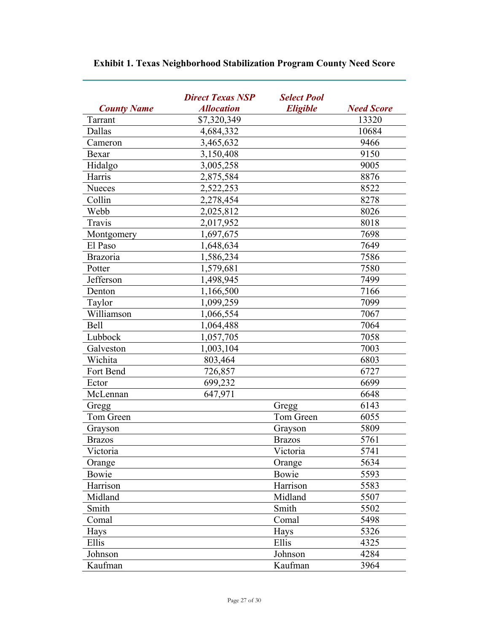|                    | <b>Direct Texas NSP</b> | <b>Select Pool</b> |                   |
|--------------------|-------------------------|--------------------|-------------------|
| <b>County Name</b> | <b>Allocation</b>       | <b>Eligible</b>    | <b>Need Score</b> |
| Tarrant            | \$7,320,349             |                    | 13320             |
| Dallas             | 4,684,332               |                    | 10684             |
| Cameron            | 3,465,632               |                    | 9466              |
| Bexar              | 3,150,408               |                    | 9150              |
| Hidalgo            | 3,005,258               |                    | 9005              |
| Harris             | 2,875,584               |                    | 8876              |
| Nueces             | 2,522,253               |                    | 8522              |
| Collin             | 2,278,454               |                    | 8278              |
| Webb               | 2,025,812               |                    | 8026              |
| Travis             | 2,017,952               |                    | 8018              |
| Montgomery         | 1,697,675               |                    | 7698              |
| El Paso            | 1,648,634               |                    | 7649              |
| <b>Brazoria</b>    | 1,586,234               |                    | 7586              |
| Potter             | 1,579,681               |                    | 7580              |
| Jefferson          | 1,498,945               |                    | 7499              |
| Denton             | 1,166,500               |                    | 7166              |
| Taylor             | 1,099,259               |                    | 7099              |
| Williamson         | 1,066,554               |                    | 7067              |
| Bell               | 1,064,488               |                    | 7064              |
| Lubbock            | 1,057,705               |                    | 7058              |
| Galveston          | 1,003,104               |                    | 7003              |
| Wichita            | 803,464                 |                    | 6803              |
| Fort Bend          | 726,857                 |                    | 6727              |
| Ector              | 699,232                 |                    | 6699              |
| McLennan           | 647,971                 |                    | 6648              |
| Gregg              |                         | Gregg              | 6143              |
| Tom Green          |                         | Tom Green          | 6055              |
| Grayson            |                         | Grayson            | 5809              |
| <b>Brazos</b>      |                         | <b>Brazos</b>      | 5761              |
| Victoria           |                         | Victoria           | 5741              |
| Orange             |                         | Orange             | 5634              |
| Bowie              |                         | Bowie              | 5593              |
| Harrison           |                         | Harrison           | 5583              |
| Midland            |                         | Midland            | 5507              |
| Smith              |                         | Smith              | 5502              |
| Comal              |                         | Comal              | 5498              |
| Hays               |                         | Hays               | 5326              |
| Ellis              |                         | Ellis              | 4325              |
| Johnson            |                         | Johnson            | 4284              |
| Kaufman            |                         | Kaufman            | 3964              |

# **Exhibit 1. Texas Neighborhood Stabilization Program County Need Score**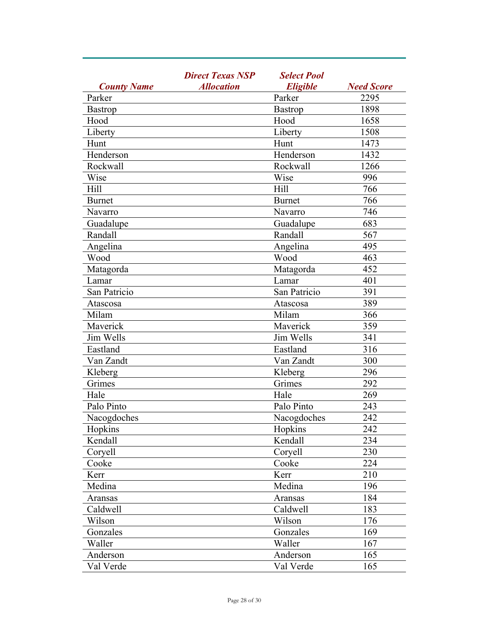|                    | <b>Direct Texas NSP</b> | <b>Select Pool</b><br><b>Eligible</b> |      |
|--------------------|-------------------------|---------------------------------------|------|
| <b>County Name</b> | <b>Allocation</b>       | <b>Need Score</b>                     |      |
| Parker             |                         | Parker                                | 2295 |
| <b>Bastrop</b>     |                         | <b>Bastrop</b>                        | 1898 |
| Hood               |                         | Hood                                  | 1658 |
| Liberty            |                         | Liberty                               | 1508 |
| Hunt               |                         | Hunt                                  | 1473 |
| Henderson          |                         | Henderson                             | 1432 |
| Rockwall           |                         | Rockwall                              | 1266 |
| Wise               |                         | Wise                                  | 996  |
| Hill               |                         | Hill                                  | 766  |
| <b>Burnet</b>      |                         | <b>Burnet</b>                         | 766  |
| Navarro            |                         | Navarro                               | 746  |
| Guadalupe          |                         | Guadalupe                             | 683  |
| Randall            |                         | Randall                               | 567  |
| Angelina           |                         | Angelina                              | 495  |
| Wood               |                         | Wood                                  | 463  |
| Matagorda          |                         | Matagorda                             | 452  |
| Lamar              |                         | Lamar                                 | 401  |
| San Patricio       |                         | San Patricio                          | 391  |
| Atascosa           |                         | Atascosa                              | 389  |
| Milam              |                         | Milam                                 | 366  |
| Maverick           |                         | Maverick                              | 359  |
| Jim Wells          |                         | Jim Wells                             | 341  |
| Eastland           |                         | Eastland                              | 316  |
| Van Zandt          |                         | Van Zandt                             | 300  |
| Kleberg            |                         | Kleberg                               | 296  |
| Grimes             |                         | Grimes                                | 292  |
| Hale               |                         | Hale                                  | 269  |
| Palo Pinto         |                         | Palo Pinto                            | 243  |
| Nacogdoches        |                         | Nacogdoches                           | 242  |
| Hopkins            |                         | Hopkins                               | 242  |
| Kendall            |                         | Kendall                               | 234  |
| Coryell            |                         | Corvell                               | 230  |
| Cooke              |                         | Cooke                                 | 224  |
| Kerr               |                         | Kerr                                  | 210  |
| Medina             |                         | Medina                                | 196  |
| Aransas            |                         | Aransas                               | 184  |
| Caldwell           |                         | Caldwell                              | 183  |
| Wilson             |                         | Wilson                                | 176  |
| Gonzales           |                         | Gonzales                              | 169  |
| Waller             |                         | Waller                                | 167  |
| Anderson           |                         | Anderson                              | 165  |
| Val Verde          |                         | Val Verde                             | 165  |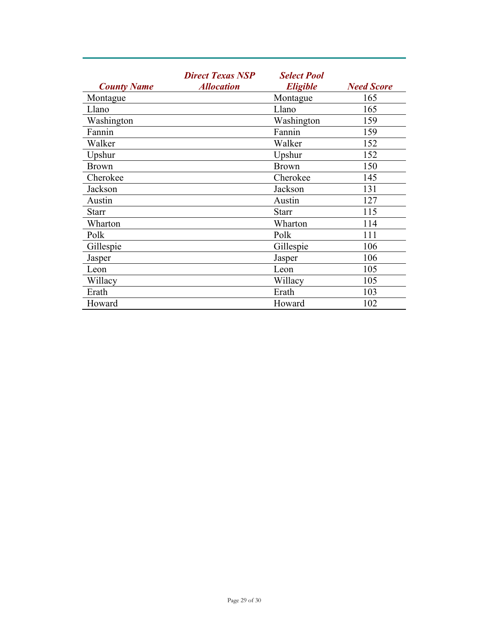| <b>County Name</b> | <b>Direct Texas NSP</b><br><b>Allocation</b> | <b>Select Pool</b><br><b>Eligible</b> | <b>Need Score</b> |
|--------------------|----------------------------------------------|---------------------------------------|-------------------|
| Montague           |                                              | Montague                              | 165               |
| Llano              |                                              | Llano                                 | 165               |
| Washington         |                                              | Washington                            | 159               |
| Fannin             |                                              | Fannin                                | 159               |
| Walker             |                                              | Walker                                | 152               |
| Upshur             |                                              | Upshur                                | 152               |
| <b>Brown</b>       |                                              | <b>Brown</b>                          | 150               |
| Cherokee           |                                              | Cherokee                              | 145               |
| Jackson            |                                              | Jackson                               | 131               |
| Austin             |                                              | Austin                                | 127               |
| <b>Starr</b>       |                                              | <b>Starr</b>                          | 115               |
| Wharton            |                                              | Wharton                               | 114               |
| Polk               |                                              | Polk                                  | 111               |
| Gillespie          |                                              | Gillespie                             | 106               |
| Jasper             |                                              | Jasper                                | 106               |
| Leon               |                                              | Leon                                  | 105               |
| Willacy            |                                              | Willacy                               | 105               |
| Erath              |                                              | Erath                                 | 103               |
| Howard             |                                              | Howard                                | 102               |